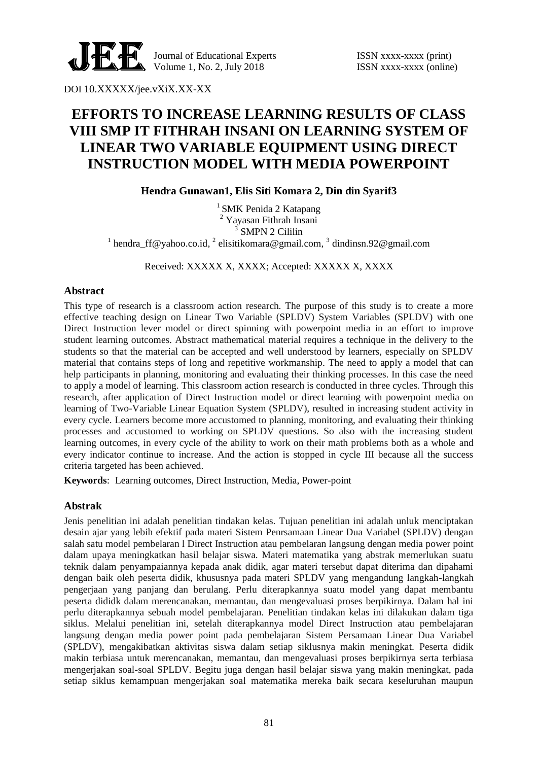

Journal of Educational Experts ISSN xxxx-xxxx (print) Volume 1, No. 2, July  $2018$  ISSN xxxx-xxxx (online)

DOI 10.XXXXX/jee.vXiX.XX-XX

# **EFFORTS TO INCREASE LEARNING RESULTS OF CLASS VIII SMP IT FITHRAH INSANI ON LEARNING SYSTEM OF LINEAR TWO VARIABLE EQUIPMENT USING DIRECT INSTRUCTION MODEL WITH MEDIA POWERPOINT**

**Hendra Gunawan1, Elis Siti Komara 2, Din din Syarif3**

 $<sup>1</sup>$  SMK Penida 2 Katapang</sup> <sup>2</sup> Yayasan Fithrah Insani <sup>3</sup> SMPN 2 Cililin <sup>1</sup> hendra\_ff@yahoo.co.id, <sup>2</sup> elisitikomara@gmail.com, <sup>3</sup> dindinsn.92@gmail.com

Received: XXXXX X, XXXX; Accepted: XXXXX X, XXXX

### **Abstract**

This type of research is a classroom action research. The purpose of this study is to create a more effective teaching design on Linear Two Variable (SPLDV) System Variables (SPLDV) with one Direct Instruction lever model or direct spinning with powerpoint media in an effort to improve student learning outcomes. Abstract mathematical material requires a technique in the delivery to the students so that the material can be accepted and well understood by learners, especially on SPLDV material that contains steps of long and repetitive workmanship. The need to apply a model that can help participants in planning, monitoring and evaluating their thinking processes. In this case the need to apply a model of learning. This classroom action research is conducted in three cycles. Through this research, after application of Direct Instruction model or direct learning with powerpoint media on learning of Two-Variable Linear Equation System (SPLDV), resulted in increasing student activity in every cycle. Learners become more accustomed to planning, monitoring, and evaluating their thinking processes and accustomed to working on SPLDV questions. So also with the increasing student learning outcomes, in every cycle of the ability to work on their math problems both as a whole and every indicator continue to increase. And the action is stopped in cycle III because all the success criteria targeted has been achieved.

**Keywords**: Learning outcomes, Direct Instruction, Media, Power-point

### **Abstrak**

Jenis penelitian ini adalah penelitian tindakan kelas. Tujuan penelitian ini adalah unluk menciptakan desain ajar yang lebih efektif pada materi Sistem Penrsamaan Linear Dua Variabel (SPLDV) dengan salah satu model pembelaran l Direct Instruction atau pembelaran langsung dengan media power point dalam upaya meningkatkan hasil belajar siswa. Materi matematika yang abstrak memerlukan suatu teknik dalam penyampaiannya kepada anak didik, agar materi tersebut dapat diterima dan dipahami dengan baik oleh peserta didik, khususnya pada materi SPLDV yang mengandung langkah-langkah pengerjaan yang panjang dan berulang. Perlu diterapkannya suatu model yang dapat membantu peserta dididk dalam merencanakan, memantau, dan mengevaluasi proses berpikirnya. Dalam hal ini perlu diterapkannya sebuah model pembelajaran. Penelitian tindakan kelas ini dilakukan dalam tiga siklus. Melalui penelitian ini, setelah diterapkannya model Direct Instruction atau pembelajaran langsung dengan media power point pada pembelajaran Sistem Persamaan Linear Dua Variabel (SPLDV), mengakibatkan aktivitas siswa dalam setiap siklusnya makin meningkat. Peserta didik makin terbiasa untuk merencanakan, memantau, dan mengevaluasi proses berpikirnya serta terbiasa mengerjakan soal-soal SPLDV. Begitu juga dengan hasil belajar siswa yang makin meningkat, pada setiap siklus kemampuan mengerjakan soal matematika mereka baik secara keseluruhan maupun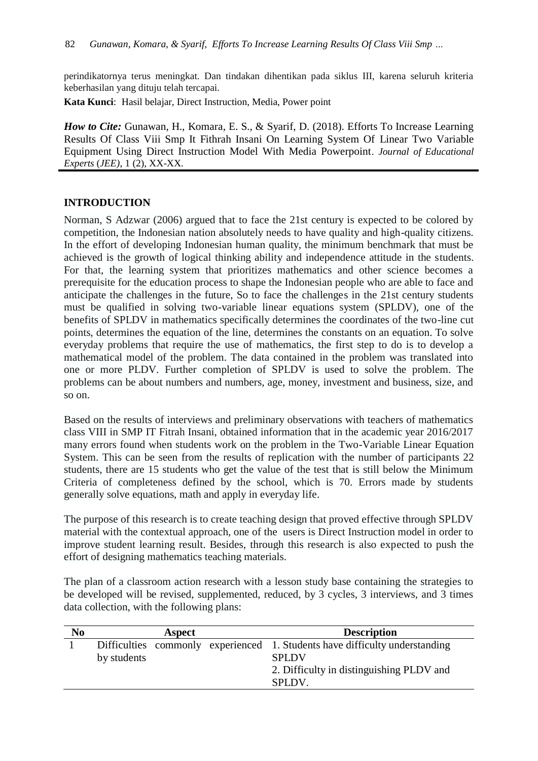perindikatornya terus meningkat. Dan tindakan dihentikan pada siklus III, karena seluruh kriteria keberhasilan yang dituju telah tercapai.

**Kata Kunci**: Hasil belajar, Direct Instruction, Media, Power point

*How to Cite: Gunawan, H., Komara, E. S., & Syarif, D. (2018). Efforts To Increase Learning* Results Of Class Viii Smp It Fithrah Insani On Learning System Of Linear Two Variable Equipment Using Direct Instruction Model With Media Powerpoint. *Journal of Educational Experts* (*JEE)*, 1 (2), XX-XX.

# **INTRODUCTION**

Norman, S Adzwar (2006) argued that to face the 21st century is expected to be colored by competition, the Indonesian nation absolutely needs to have quality and high-quality citizens. In the effort of developing Indonesian human quality, the minimum benchmark that must be achieved is the growth of logical thinking ability and independence attitude in the students. For that, the learning system that prioritizes mathematics and other science becomes a prerequisite for the education process to shape the Indonesian people who are able to face and anticipate the challenges in the future, So to face the challenges in the 21st century students must be qualified in solving two-variable linear equations system (SPLDV), one of the benefits of SPLDV in mathematics specifically determines the coordinates of the two-line cut points, determines the equation of the line, determines the constants on an equation. To solve everyday problems that require the use of mathematics, the first step to do is to develop a mathematical model of the problem. The data contained in the problem was translated into one or more PLDV. Further completion of SPLDV is used to solve the problem. The problems can be about numbers and numbers, age, money, investment and business, size, and so on.

Based on the results of interviews and preliminary observations with teachers of mathematics class VIII in SMP IT Fitrah Insani, obtained information that in the academic year 2016/2017 many errors found when students work on the problem in the Two-Variable Linear Equation System. This can be seen from the results of replication with the number of participants 22 students, there are 15 students who get the value of the test that is still below the Minimum Criteria of completeness defined by the school, which is 70. Errors made by students generally solve equations, math and apply in everyday life.

The purpose of this research is to create teaching design that proved effective through SPLDV material with the contextual approach, one of the users is Direct Instruction model in order to improve student learning result. Besides, through this research is also expected to push the effort of designing mathematics teaching materials.

The plan of a classroom action research with a lesson study base containing the strategies to be developed will be revised, supplemented, reduced, by 3 cycles, 3 interviews, and 3 times data collection, with the following plans:

| N <sub>0</sub> |             | Aspect | <b>Description</b>                                                                                                                                      |
|----------------|-------------|--------|---------------------------------------------------------------------------------------------------------------------------------------------------------|
|                | by students |        | Difficulties commonly experienced 1. Students have difficulty understanding<br><b>SPLDV</b><br>2. Difficulty in distinguishing PLDV and<br><b>SPLDV</b> |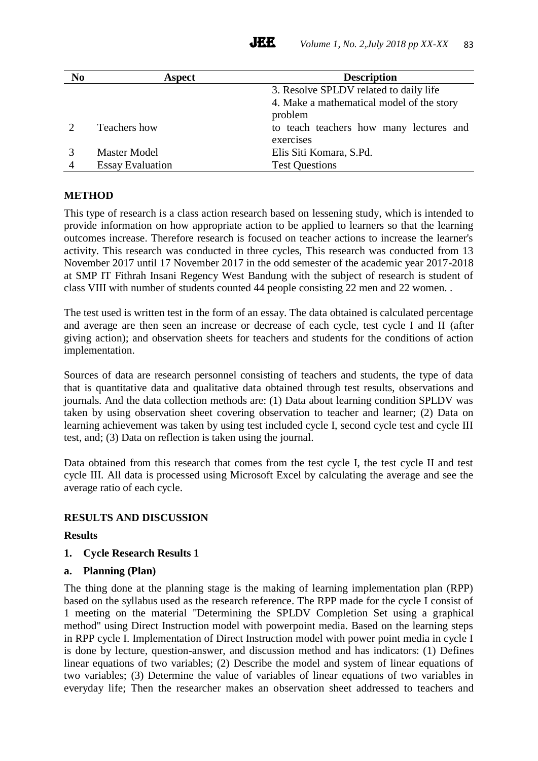| N <sub>0</sub> | Aspect                  | <b>Description</b>                        |
|----------------|-------------------------|-------------------------------------------|
|                |                         | 3. Resolve SPLDV related to daily life    |
|                |                         | 4. Make a mathematical model of the story |
|                |                         | problem                                   |
|                | Teachers how            | to teach teachers how many lectures and   |
|                |                         | exercises                                 |
|                | <b>Master Model</b>     | Elis Siti Komara, S.Pd.                   |
| $\overline{4}$ | <b>Essay Evaluation</b> | <b>Test Questions</b>                     |

# **METHOD**

This type of research is a class action research based on lessening study, which is intended to provide information on how appropriate action to be applied to learners so that the learning outcomes increase. Therefore research is focused on teacher actions to increase the learner's activity. This research was conducted in three cycles, This research was conducted from 13 November 2017 until 17 November 2017 in the odd semester of the academic year 2017-2018 at SMP IT Fithrah Insani Regency West Bandung with the subject of research is student of class VIII with number of students counted 44 people consisting 22 men and 22 women. .

The test used is written test in the form of an essay. The data obtained is calculated percentage and average are then seen an increase or decrease of each cycle, test cycle I and II (after giving action); and observation sheets for teachers and students for the conditions of action implementation.

Sources of data are research personnel consisting of teachers and students, the type of data that is quantitative data and qualitative data obtained through test results, observations and journals. And the data collection methods are: (1) Data about learning condition SPLDV was taken by using observation sheet covering observation to teacher and learner; (2) Data on learning achievement was taken by using test included cycle I, second cycle test and cycle III test, and; (3) Data on reflection is taken using the journal.

Data obtained from this research that comes from the test cycle I, the test cycle II and test cycle III. All data is processed using Microsoft Excel by calculating the average and see the average ratio of each cycle.

### **RESULTS AND DISCUSSION**

### **Results**

**1. Cycle Research Results 1**

### **a. Planning (Plan)**

The thing done at the planning stage is the making of learning implementation plan (RPP) based on the syllabus used as the research reference. The RPP made for the cycle I consist of 1 meeting on the material "Determining the SPLDV Completion Set using a graphical method" using Direct Instruction model with powerpoint media. Based on the learning steps in RPP cycle I. Implementation of Direct Instruction model with power point media in cycle I is done by lecture, question-answer, and discussion method and has indicators: (1) Defines linear equations of two variables; (2) Describe the model and system of linear equations of two variables; (3) Determine the value of variables of linear equations of two variables in everyday life; Then the researcher makes an observation sheet addressed to teachers and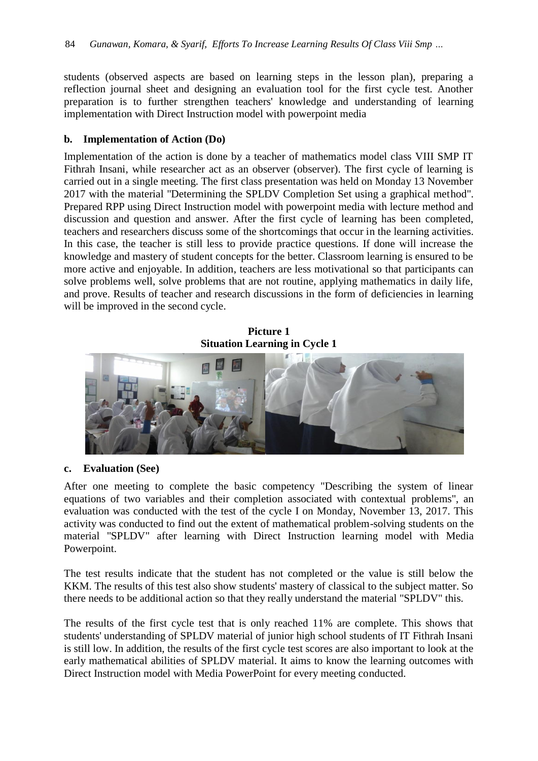students (observed aspects are based on learning steps in the lesson plan), preparing a reflection journal sheet and designing an evaluation tool for the first cycle test. Another preparation is to further strengthen teachers' knowledge and understanding of learning implementation with Direct Instruction model with powerpoint media

#### **b. Implementation of Action (Do)**

Implementation of the action is done by a teacher of mathematics model class VIII SMP IT Fithrah Insani, while researcher act as an observer (observer). The first cycle of learning is carried out in a single meeting. The first class presentation was held on Monday 13 November 2017 with the material "Determining the SPLDV Completion Set using a graphical method". Prepared RPP using Direct Instruction model with powerpoint media with lecture method and discussion and question and answer. After the first cycle of learning has been completed, teachers and researchers discuss some of the shortcomings that occur in the learning activities. In this case, the teacher is still less to provide practice questions. If done will increase the knowledge and mastery of student concepts for the better. Classroom learning is ensured to be more active and enjoyable. In addition, teachers are less motivational so that participants can solve problems well, solve problems that are not routine, applying mathematics in daily life, and prove. Results of teacher and research discussions in the form of deficiencies in learning will be improved in the second cycle.

**Picture 1 Situation Learning in Cycle 1**



### **c. Evaluation (See)**

After one meeting to complete the basic competency "Describing the system of linear equations of two variables and their completion associated with contextual problems", an evaluation was conducted with the test of the cycle I on Monday, November 13, 2017. This activity was conducted to find out the extent of mathematical problem-solving students on the material "SPLDV" after learning with Direct Instruction learning model with Media Powerpoint.

The test results indicate that the student has not completed or the value is still below the KKM. The results of this test also show students' mastery of classical to the subject matter. So there needs to be additional action so that they really understand the material "SPLDV" this.

The results of the first cycle test that is only reached 11% are complete. This shows that students' understanding of SPLDV material of junior high school students of IT Fithrah Insani is still low. In addition, the results of the first cycle test scores are also important to look at the early mathematical abilities of SPLDV material. It aims to know the learning outcomes with Direct Instruction model with Media PowerPoint for every meeting conducted.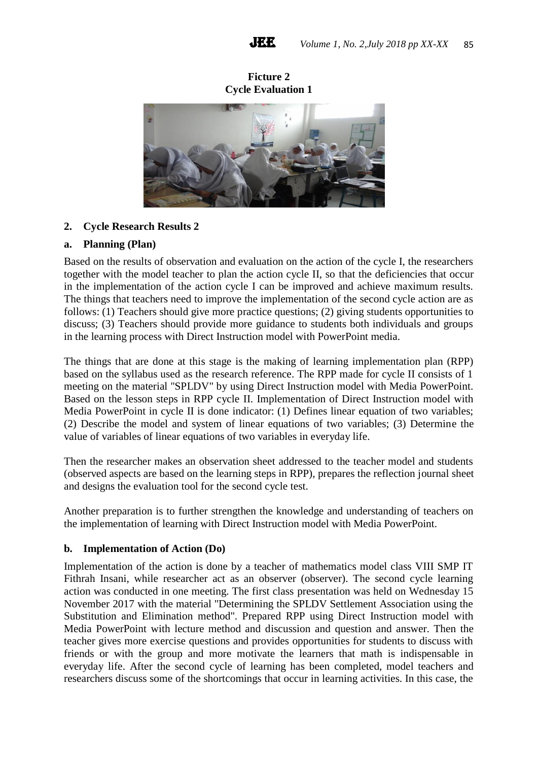**Ficture 2 Cycle Evaluation 1**



# **2. Cycle Research Results 2**

# **a. Planning (Plan)**

Based on the results of observation and evaluation on the action of the cycle I, the researchers together with the model teacher to plan the action cycle II, so that the deficiencies that occur in the implementation of the action cycle I can be improved and achieve maximum results. The things that teachers need to improve the implementation of the second cycle action are as follows: (1) Teachers should give more practice questions; (2) giving students opportunities to discuss; (3) Teachers should provide more guidance to students both individuals and groups in the learning process with Direct Instruction model with PowerPoint media.

The things that are done at this stage is the making of learning implementation plan (RPP) based on the syllabus used as the research reference. The RPP made for cycle II consists of 1 meeting on the material "SPLDV" by using Direct Instruction model with Media PowerPoint. Based on the lesson steps in RPP cycle II. Implementation of Direct Instruction model with Media PowerPoint in cycle II is done indicator: (1) Defines linear equation of two variables; (2) Describe the model and system of linear equations of two variables; (3) Determine the value of variables of linear equations of two variables in everyday life.

Then the researcher makes an observation sheet addressed to the teacher model and students (observed aspects are based on the learning steps in RPP), prepares the reflection journal sheet and designs the evaluation tool for the second cycle test.

Another preparation is to further strengthen the knowledge and understanding of teachers on the implementation of learning with Direct Instruction model with Media PowerPoint.

### **b. Implementation of Action (Do)**

Implementation of the action is done by a teacher of mathematics model class VIII SMP IT Fithrah Insani, while researcher act as an observer (observer). The second cycle learning action was conducted in one meeting. The first class presentation was held on Wednesday 15 November 2017 with the material "Determining the SPLDV Settlement Association using the Substitution and Elimination method". Prepared RPP using Direct Instruction model with Media PowerPoint with lecture method and discussion and question and answer. Then the teacher gives more exercise questions and provides opportunities for students to discuss with friends or with the group and more motivate the learners that math is indispensable in everyday life. After the second cycle of learning has been completed, model teachers and researchers discuss some of the shortcomings that occur in learning activities. In this case, the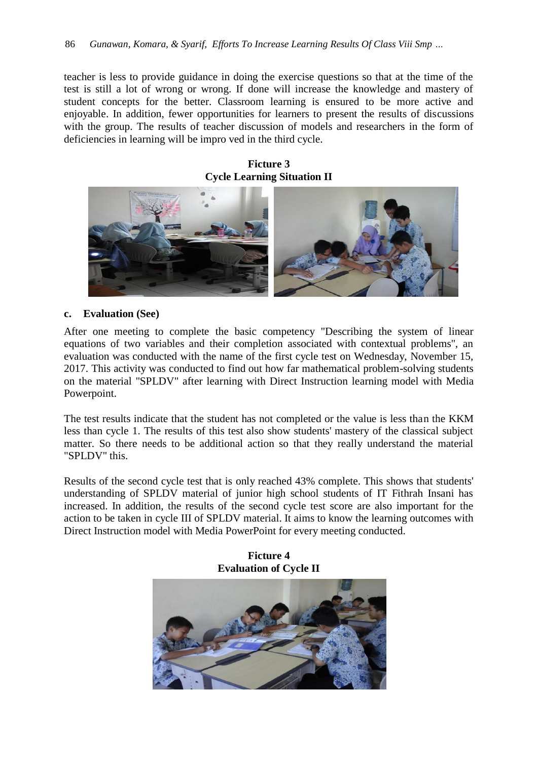teacher is less to provide guidance in doing the exercise questions so that at the time of the test is still a lot of wrong or wrong. If done will increase the knowledge and mastery of student concepts for the better. Classroom learning is ensured to be more active and enjoyable. In addition, fewer opportunities for learners to present the results of discussions with the group. The results of teacher discussion of models and researchers in the form of deficiencies in learning will be impro ved in the third cycle.

**Ficture 3 Cycle Learning Situation II**



#### **c. Evaluation (See)**

After one meeting to complete the basic competency "Describing the system of linear equations of two variables and their completion associated with contextual problems", an evaluation was conducted with the name of the first cycle test on Wednesday, November 15, 2017. This activity was conducted to find out how far mathematical problem-solving students on the material "SPLDV" after learning with Direct Instruction learning model with Media Powerpoint.

The test results indicate that the student has not completed or the value is less than the KKM less than cycle 1. The results of this test also show students' mastery of the classical subject matter. So there needs to be additional action so that they really understand the material "SPLDV" this.

Results of the second cycle test that is only reached 43% complete. This shows that students' understanding of SPLDV material of junior high school students of IT Fithrah Insani has increased. In addition, the results of the second cycle test score are also important for the action to be taken in cycle III of SPLDV material. It aims to know the learning outcomes with Direct Instruction model with Media PowerPoint for every meeting conducted.



**Ficture 4**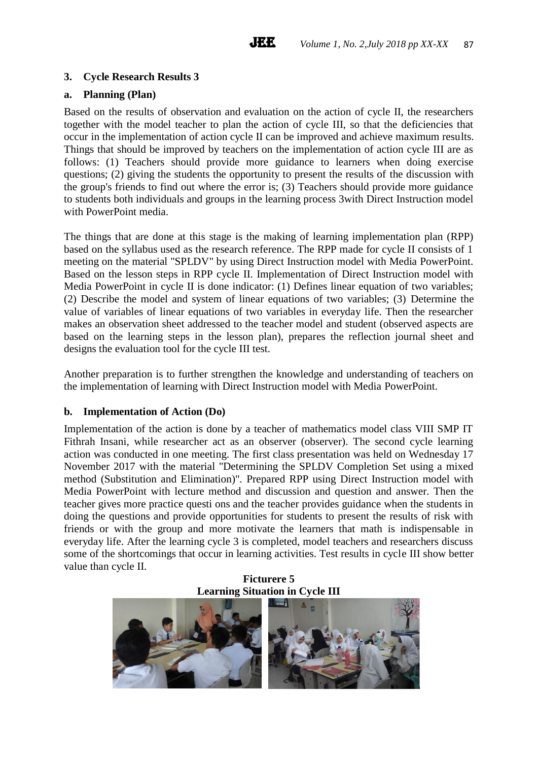# **3. Cycle Research Results 3**

## **a. Planning (Plan)**

Based on the results of observation and evaluation on the action of cycle II, the researchers together with the model teacher to plan the action of cycle III, so that the deficiencies that occur in the implementation of action cycle II can be improved and achieve maximum results. Things that should be improved by teachers on the implementation of action cycle III are as follows: (1) Teachers should provide more guidance to learners when doing exercise questions; (2) giving the students the opportunity to present the results of the discussion with the group's friends to find out where the error is; (3) Teachers should provide more guidance to students both individuals and groups in the learning process 3with Direct Instruction model with PowerPoint media.

The things that are done at this stage is the making of learning implementation plan (RPP) based on the syllabus used as the research reference. The RPP made for cycle II consists of 1 meeting on the material "SPLDV" by using Direct Instruction model with Media PowerPoint. Based on the lesson steps in RPP cycle II. Implementation of Direct Instruction model with Media PowerPoint in cycle II is done indicator: (1) Defines linear equation of two variables; (2) Describe the model and system of linear equations of two variables; (3) Determine the value of variables of linear equations of two variables in everyday life. Then the researcher makes an observation sheet addressed to the teacher model and student (observed aspects are based on the learning steps in the lesson plan), prepares the reflection journal sheet and designs the evaluation tool for the cycle III test.

Another preparation is to further strengthen the knowledge and understanding of teachers on the implementation of learning with Direct Instruction model with Media PowerPoint.

### **b. Implementation of Action (Do)**

Implementation of the action is done by a teacher of mathematics model class VIII SMP IT Fithrah Insani, while researcher act as an observer (observer). The second cycle learning action was conducted in one meeting. The first class presentation was held on Wednesday 17 November 2017 with the material "Determining the SPLDV Completion Set using a mixed method (Substitution and Elimination)". Prepared RPP using Direct Instruction model with Media PowerPoint with lecture method and discussion and question and answer. Then the teacher gives more practice questi ons and the teacher provides guidance when the students in doing the questions and provide opportunities for students to present the results of risk with friends or with the group and more motivate the learners that math is indispensable in everyday life. After the learning cycle 3 is completed, model teachers and researchers discuss some of the shortcomings that occur in learning activities. Test results in cycle III show better value than cycle II.

**Ficturere 5 Learning Situation in Cycle III**

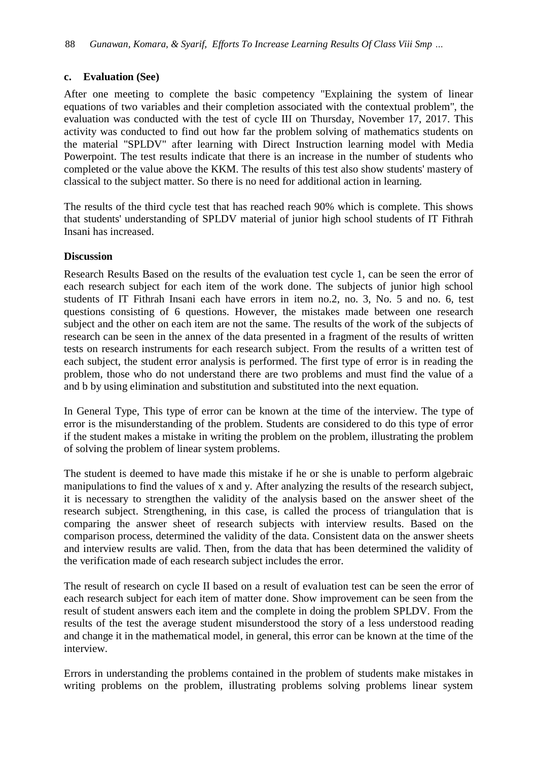# **c. Evaluation (See)**

After one meeting to complete the basic competency "Explaining the system of linear equations of two variables and their completion associated with the contextual problem", the evaluation was conducted with the test of cycle III on Thursday, November 17, 2017. This activity was conducted to find out how far the problem solving of mathematics students on the material "SPLDV" after learning with Direct Instruction learning model with Media Powerpoint. The test results indicate that there is an increase in the number of students who completed or the value above the KKM. The results of this test also show students' mastery of classical to the subject matter. So there is no need for additional action in learning.

The results of the third cycle test that has reached reach 90% which is complete. This shows that students' understanding of SPLDV material of junior high school students of IT Fithrah Insani has increased.

# **Discussion**

Research Results Based on the results of the evaluation test cycle 1, can be seen the error of each research subject for each item of the work done. The subjects of junior high school students of IT Fithrah Insani each have errors in item no.2, no. 3, No. 5 and no. 6, test questions consisting of 6 questions. However, the mistakes made between one research subject and the other on each item are not the same. The results of the work of the subjects of research can be seen in the annex of the data presented in a fragment of the results of written tests on research instruments for each research subject. From the results of a written test of each subject, the student error analysis is performed. The first type of error is in reading the problem, those who do not understand there are two problems and must find the value of a and b by using elimination and substitution and substituted into the next equation.

In General Type, This type of error can be known at the time of the interview. The type of error is the misunderstanding of the problem. Students are considered to do this type of error if the student makes a mistake in writing the problem on the problem, illustrating the problem of solving the problem of linear system problems.

The student is deemed to have made this mistake if he or she is unable to perform algebraic manipulations to find the values of x and y. After analyzing the results of the research subject, it is necessary to strengthen the validity of the analysis based on the answer sheet of the research subject. Strengthening, in this case, is called the process of triangulation that is comparing the answer sheet of research subjects with interview results. Based on the comparison process, determined the validity of the data. Consistent data on the answer sheets and interview results are valid. Then, from the data that has been determined the validity of the verification made of each research subject includes the error.

The result of research on cycle II based on a result of evaluation test can be seen the error of each research subject for each item of matter done. Show improvement can be seen from the result of student answers each item and the complete in doing the problem SPLDV. From the results of the test the average student misunderstood the story of a less understood reading and change it in the mathematical model, in general, this error can be known at the time of the interview.

Errors in understanding the problems contained in the problem of students make mistakes in writing problems on the problem, illustrating problems solving problems linear system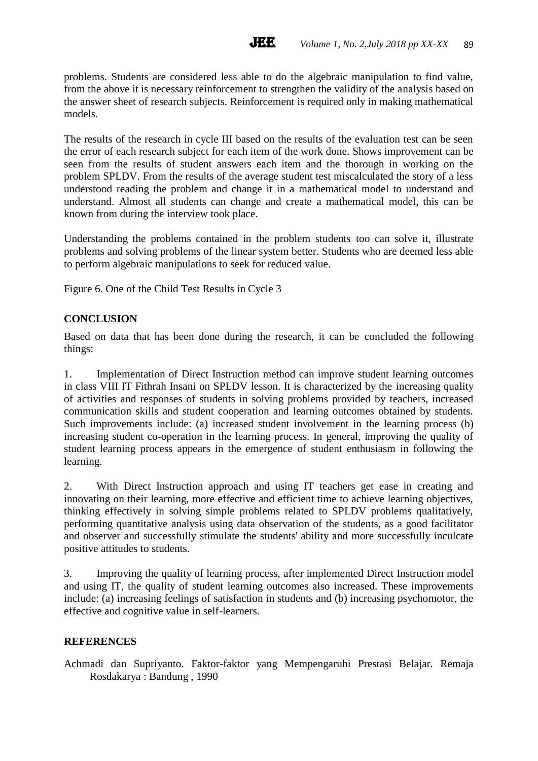problems. Students are considered less able to do the algebraic manipulation to find value, from the above it is necessary reinforcement to strengthen the validity of the analysis based on the answer sheet of research subjects. Reinforcement is required only in making mathematical models.

**JEE** 

The results of the research in cycle III based on the results of the evaluation test can be seen the error of each research subject for each item of the work done. Shows improvement can be seen from the results of student answers each item and the thorough in working on the problem SPLDV. From the results of the average student test miscalculated the story of a less understood reading the problem and change it in a mathematical model to understand and understand. Almost all students can change and create a mathematical model, this can be known from during the interview took place.

Understanding the problems contained in the problem students too can solve it, illustrate problems and solving problems of the linear system better. Students who are deemed less able to perform algebraic manipulations to seek for reduced value.

Figure 6. One of the Child Test Results in Cycle 3

# **CONCLUSION**

Based on data that has been done during the research, it can be concluded the following things:

1. Implementation of Direct Instruction method can improve student learning outcomes in class VIII IT Fithrah Insani on SPLDV lesson. It is characterized by the increasing quality of activities and responses of students in solving problems provided by teachers, increased communication skills and student cooperation and learning outcomes obtained by students. Such improvements include: (a) increased student involvement in the learning process (b) increasing student co-operation in the learning process. In general, improving the quality of student learning process appears in the emergence of student enthusiasm in following the learning.

2. With Direct Instruction approach and using IT teachers get ease in creating and innovating on their learning, more effective and efficient time to achieve learning objectives, thinking effectively in solving simple problems related to SPLDV problems qualitatively, performing quantitative analysis using data observation of the students, as a good facilitator and observer and successfully stimulate the students' ability and more successfully inculcate positive attitudes to students.

3. Improving the quality of learning process, after implemented Direct Instruction model and using IT, the quality of student learning outcomes also increased. These improvements include: (a) increasing feelings of satisfaction in students and (b) increasing psychomotor, the effective and cognitive value in self-learners.

# **REFERENCES**

Achmadi dan Supriyanto. Faktor-faktor yang Mempengaruhi Prestasi Belajar. Remaja Rosdakarya : Bandung , 1990